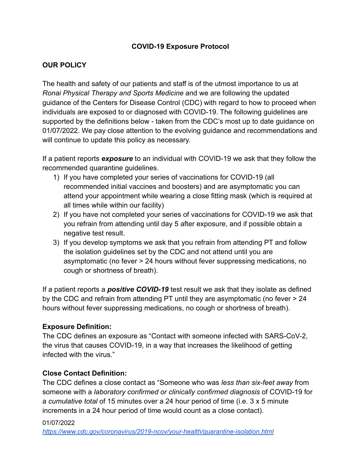### **COVID-19 Exposure Protocol**

### **OUR POLICY**

The health and safety of our patients and staff is of the utmost importance to us at *Ronai Physical Therapy and Sports Medicine* and we are following the updated guidance of the Centers for Disease Control (CDC) with regard to how to proceed when individuals are exposed to or diagnosed with COVID-19. The following guidelines are supported by the definitions below - taken from the CDC's most up to date guidance on 01/07/2022. We pay close attention to the evolving guidance and recommendations and will continue to update this policy as necessary.

If a patient reports *exposure* to an individual with COVID-19 we ask that they follow the recommended quarantine guidelines.

- 1) If you have completed your series of vaccinations for COVID-19 (all recommended initial vaccines and boosters) and are asymptomatic you can attend your appointment while wearing a close fitting mask (which is required at all times while within our facility)
- 2) If you have not completed your series of vaccinations for COVID-19 we ask that you refrain from attending until day 5 after exposure, and if possible obtain a negative test result.
- 3) If you develop symptoms we ask that you refrain from attending PT and follow the isolation guidelines set by the CDC and not attend until you are asymptomatic (no fever > 24 hours without fever suppressing medications, no cough or shortness of breath).

If a patient reports a *positive COVID-19* test result we ask that they isolate as defined by the CDC and refrain from attending PT until they are asymptomatic (no fever > 24 hours without fever suppressing medications, no cough or shortness of breath).

### **Exposure Definition:**

The CDC defines an exposure as "Contact with someone infected with SARS-CoV-2, the virus that causes COVID-19, in a way that increases the likelihood of getting infected with the virus."

### **Close Contact Definition:**

The CDC defines a close contact as "Someone who was *less than six-feet away* from someone with a *laboratory confirmed or clinically confirmed diagnosis* of COVID-19 for a *cumulative total* of 15 minutes over a 24 hour period of time (i.e. 3 x 5 minute increments in a 24 hour period of time would count as a close contact).

#### 01/07/2022

*<https://www.cdc.gov/coronavirus/2019-ncov/your-health/quarantine-isolation.html>*